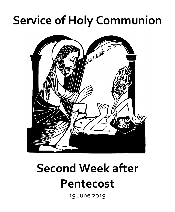## **Service of Holy Communion**



# **Second Week after**

## **Pentecost**

19 June 2019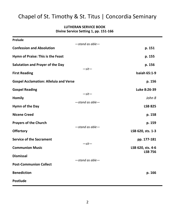### Chapel of St. Timothy & St. Titus | Concordia Seminary

#### **LUTHERAN SERVICE BOOK Divine Service Setting 1, pp. 151-166**

| Prelude                                       | $-$ stand as able $-$            |                                     |
|-----------------------------------------------|----------------------------------|-------------------------------------|
| <b>Confession and Absolution</b>              |                                  | p. 151                              |
| Hymn of Praise: This is the Feast             |                                  | p. 155                              |
| Salutation and Prayer of the Day              | $-sit-$                          | p. 156                              |
| <b>First Reading</b>                          |                                  | <b>Isaiah 65:1-9</b>                |
| <b>Gospel Acclamation: Alleluia and Verse</b> |                                  | p. 156                              |
| <b>Gospel Reading</b>                         | $-sit-$<br>$-$ stand as able $-$ | Luke 8:26-39                        |
| <b>Homily</b>                                 |                                  | John 8                              |
| Hymn of the Day                               |                                  | <b>LSB 825</b>                      |
| <b>Nicene Creed</b>                           |                                  | p. 158                              |
| <b>Prayers of the Church</b>                  | $-$ stand as able $-$            | p. 159                              |
| <b>Offertory</b>                              |                                  | LSB 620, sts. 1-3                   |
| <b>Service of the Sacrament</b>               | $-sit-$                          | pp. 177-181                         |
| <b>Communion Music</b>                        |                                  | LSB 620, sts. 4-6<br><b>LSB 756</b> |
| <b>Dismissal</b>                              | $-stand$ as able $-$             |                                     |
| <b>Post-Communion Collect</b>                 |                                  |                                     |
| <b>Benediction</b>                            |                                  | p. 166                              |
| <b>Postlude</b>                               |                                  |                                     |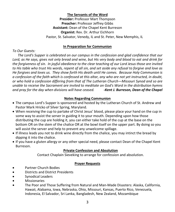#### **The Servants of the Word**

**Presider:** Professor Mart Thompson **Preacher:** Professor Jeffrey Gibbs **Assistant:** Dean of the Chapel Kent Burreson **Organist:** Rev. Dr. Arthur Eichhorn Pastor, St. Salvator, Venedy, IL and St. Peter, New Memphis, IL

#### **In Preparation for Communion**

*To Our Guests:*

 *The Lord's Supper is celebrated on our campus in the confession and glad confidence that our Lord, as He says, gives not only bread and wine, but His very body and blood to eat and drink for the forgiveness of sin. In joyful obedience to the clear teaching of our Lord Jesus those are invited to His table who trust His words, repent of all sin, and set aside any refusal to forgive and love as He forgives and loves us. They show forth His death until He comes. Because Holy Communion is a confession of the faith which is confessed at this altar, any who are not yet instructed, in doubt, or who hold a confession differing from that of The Lutheran Church—Missouri Synod and so are unable to receive the Sacrament are invited to meditate on God's Word in the distribution hymns and pray for the day when divisions will have ceased. -Kent J. Burreson, Dean of the Chapel*

#### **Notes Regarding Communion**

- The campus Lord's Supper is sponsored and hosted by the Lutheran Church of St. Andrew and Pastor Mark Hricko of Silver Spring, Maryland.
- When receiving the cup to partake of Christ Jesus' blood, please place your hand on the cup in some way to assist the server in guiding it to your mouth. Depending upon how those distributing the cup are holding it, you can either take hold of the cup at the base on the bottom OR on the stem of the chalice OR at the bowl itself on the upper part. By doing so you will assist the server and help to prevent any unwelcome spillage.
- If illness leads you not to drink wine directly from the chalice, you may intinct the bread by dipping it into the chalice.
- If you have a gluten allergy or any other special need, please contact Dean of the Chapel Kent Burreson.

#### **Private Confession and Absolution**

Contact Chaplain Sieveking to arrange for confession and absolution.

#### **Prayer Requests**

- Partner Church Bodies
- Districts and District Presidents
- Synodical Leaders
- **Missionaries**
- The Poor and Those Suffering from Natural and Man-Made Disasters: Alaska, California, Hawaii, Alabama, Iowa, Nebraska, Ohio, Missouri, Kansas, Puerto Rico, Venezuela, Indonesia, El Salvador, Sri Lanka, Bangladesh, New Zealand, Mozambique